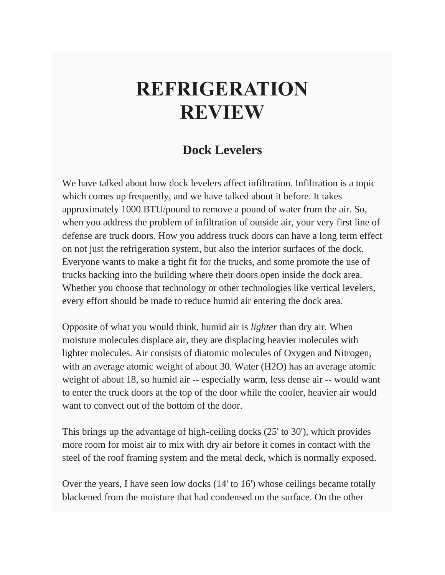## **REFRIGERATION REVIEW**

## **Dock Levelers**

We have talked about how dock levelers affect infiltration. Infiltration is a topic which comes up frequently, and we have talked about it before. It takes approximately 1000 BTU/pound to remove a pound of water from the air. So, when you address the problem of infiltration of outside air, your very first line of defense are truck doors. How you address truck doors can have a long term effect on not just the refrigeration system, but also the interior surfaces of the dock. Everyone wants to make a tight fit for the trucks, and some promote the use of trucks backing into the building where their doors open inside the dock area. Whether you choose that technology or other technologies like vertical levelers, every effort should be made to reduce humid air entering the dock area.

Opposite of what you would think, humid air is *lighter* than dry air. When moisture molecules displace air, they are displacing heavier molecules with lighter molecules. Air consists of diatomic molecules of Oxygen and Nitrogen, with an average atomic weight of about 30. Water (H2O) has an average atomic weight of about 18, so humid air -- especially warm, less dense air -- would want to enter the truck doors at the top of the door while the cooler, heavier air would want to convect out of the bottom of the door.

This brings up the advantage of high-ceiling docks (25' to 30'), which provides more room for moist air to mix with dry air before it comes in contact with the steel of the roof framing system and the metal deck, which is normally exposed.

Over the years, I have seen low docks (14' to 16') whose ceilings became totally blackened from the moisture that had condensed on the surface. On the other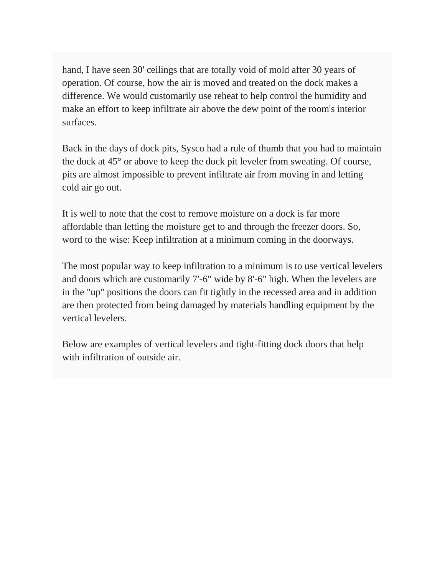hand, I have seen 30' ceilings that are totally void of mold after 30 years of operation. Of course, how the air is moved and treated on the dock makes a difference. We would customarily use reheat to help control the humidity and make an effort to keep infiltrate air above the dew point of the room's interior surfaces.

Back in the days of dock pits, Sysco had a rule of thumb that you had to maintain the dock at 45° or above to keep the dock pit leveler from sweating. Of course, pits are almost impossible to prevent infiltrate air from moving in and letting cold air go out.

It is well to note that the cost to remove moisture on a dock is far more affordable than letting the moisture get to and through the freezer doors. So, word to the wise: Keep infiltration at a minimum coming in the doorways.

The most popular way to keep infiltration to a minimum is to use vertical levelers and doors which are customarily 7'-6" wide by 8'-6" high. When the levelers are in the "up" positions the doors can fit tightly in the recessed area and in addition are then protected from being damaged by materials handling equipment by the vertical levelers.

Below are examples of vertical levelers and tight-fitting dock doors that help with infiltration of outside air.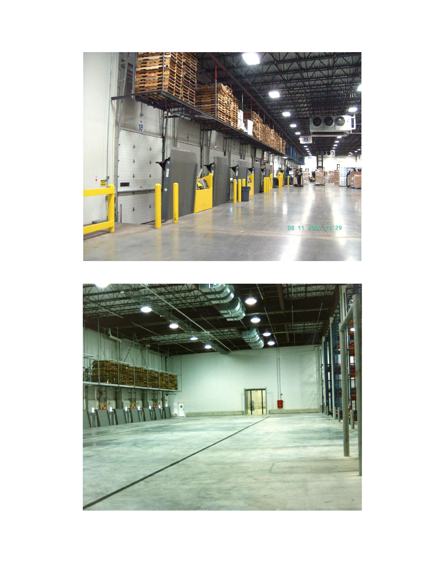